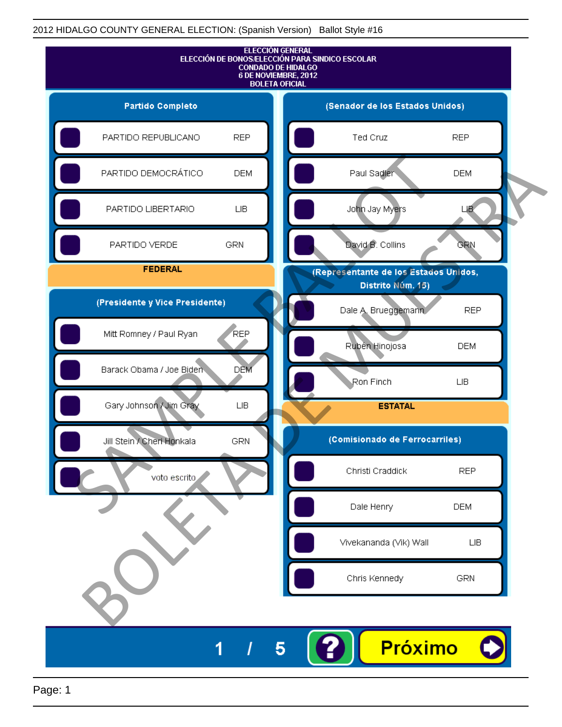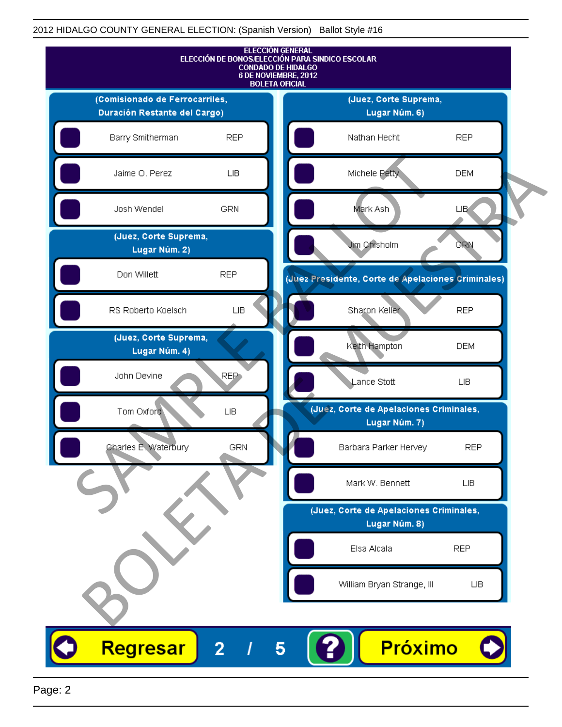

Page: 2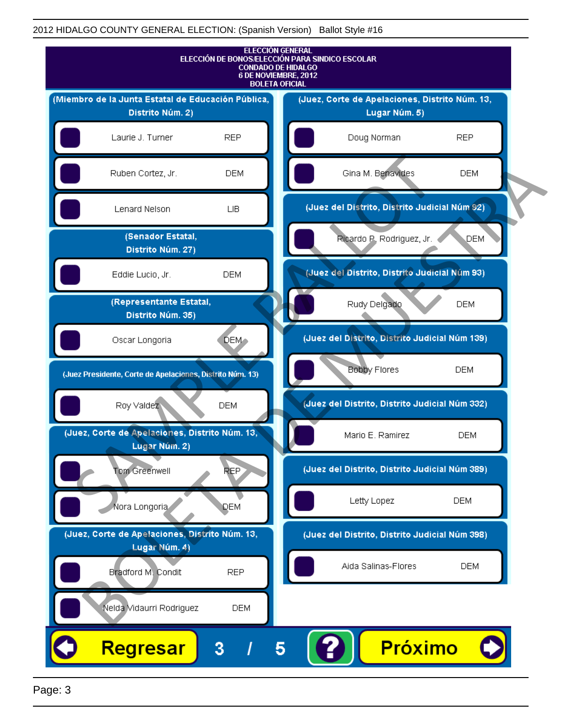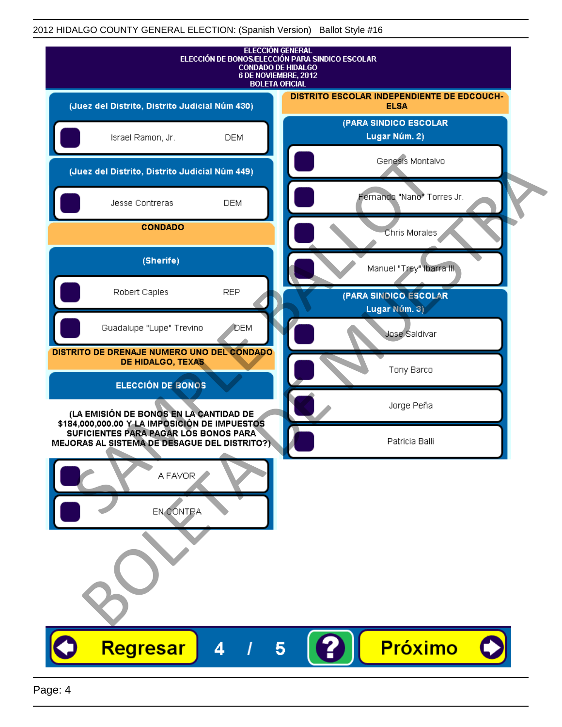| <b>ELECCIÓN GENERAL</b><br>ELECCIÓN DE BONOS/ELECCIÓN PARA SINDICO ESCOLAR<br><b>CONDADO DE HIDALGO</b><br>6 DE NOVIEMBRE, 2012<br><b>BOLETA OFICIAL</b>                         |                                                           |
|----------------------------------------------------------------------------------------------------------------------------------------------------------------------------------|-----------------------------------------------------------|
| (Juez del Distrito, Distrito Judicial Núm 430)                                                                                                                                   | DISTRITO ESCOLAR INDEPENDIENTE DE EDCOUCH-<br><b>ELSA</b> |
| Israel Ramon, Jr.<br><b>DEM</b>                                                                                                                                                  | (PARA SINDICO ESCOLAR<br>Lugar Núm. 2)                    |
| (Juez del Distrito, Distrito Judicial Núm 449)                                                                                                                                   | Genesis Montalvo                                          |
| Jesse Contreras<br><b>DEM</b>                                                                                                                                                    | Fernando "Nano" Torres Jr.                                |
| <b>CONDADO</b>                                                                                                                                                                   | Chris Morales                                             |
| (Sherife)                                                                                                                                                                        | Manuel "Trey" Ibarra III.                                 |
| Robert Caples<br><b>REP</b>                                                                                                                                                      | (PARA SINDICO ESCOLAR<br>Lugar Núm. 3)                    |
| Guadalupe "Lupe" Trevino<br>DEM                                                                                                                                                  | Jose Saldivar                                             |
| DISTRITO DE DRENAJE NUMERO UNO DEL CONDADO<br>DE HIDALGO, TEXAS                                                                                                                  | Tony Barco                                                |
| ELECCIÓN DE BONOS                                                                                                                                                                |                                                           |
| (LA EMISIÓN DE BONOS EN LA CANTIDAD DE<br>\$184,000,000.00 Y LA IMPOSICIÓN DE IMPUESTOS<br>SUFICIENTES PARA PAGAR LOS BONOS PARA<br>MEJORAS AL SISTEMA DE DESAGUE DEL DISTRITO?) | Jorge Peña<br>Patricia Balli                              |
| A FAVOR<br>EN CONTRA                                                                                                                                                             |                                                           |
| Regresar<br>4                                                                                                                                                                    | Próximo<br>5                                              |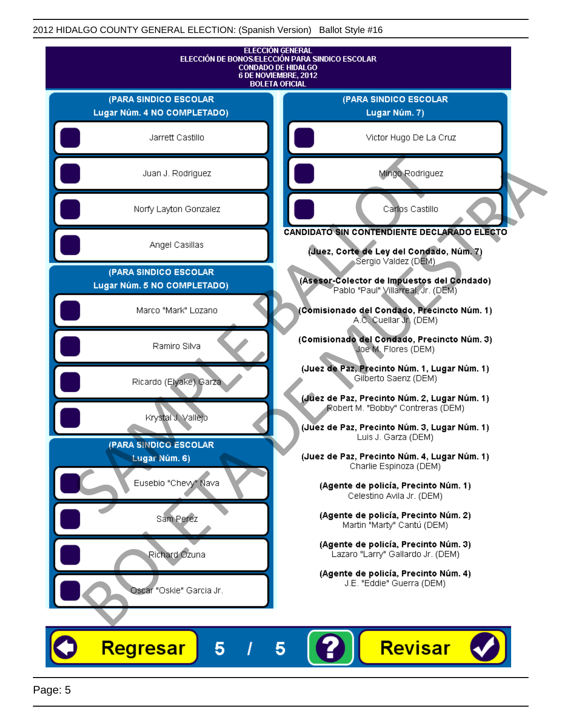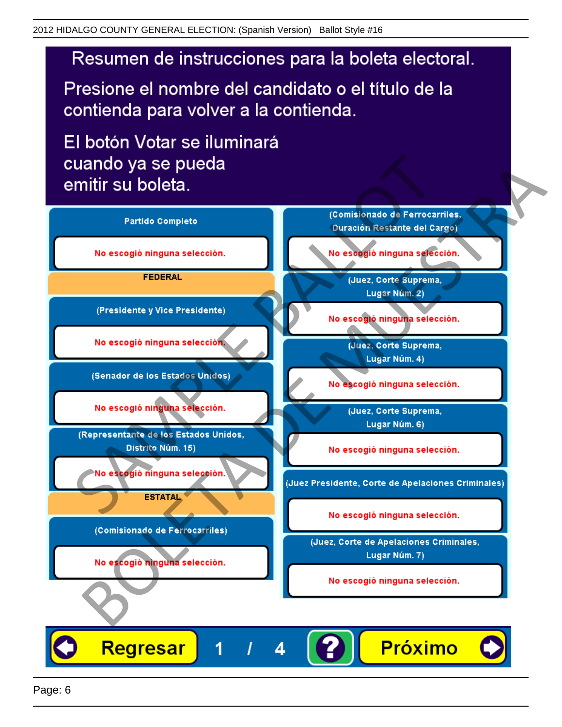Presione el nombre del candidato o el título de la contienda para volver a la contienda.

El botón Votar se iluminará

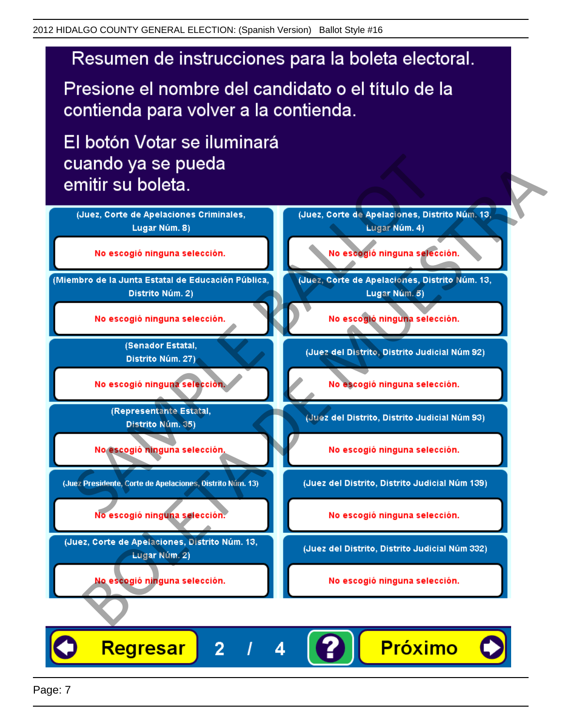Presione el nombre del candidato o el título de la contienda para volver a la contienda.

El botón Votar se iluminará



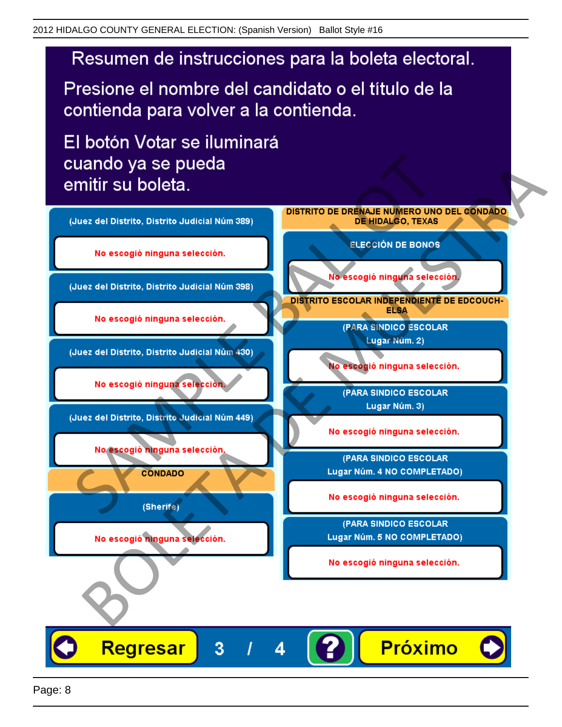Presione el nombre del candidato o el título de la contienda para volver a la contienda.

El botón Votar se iluminará